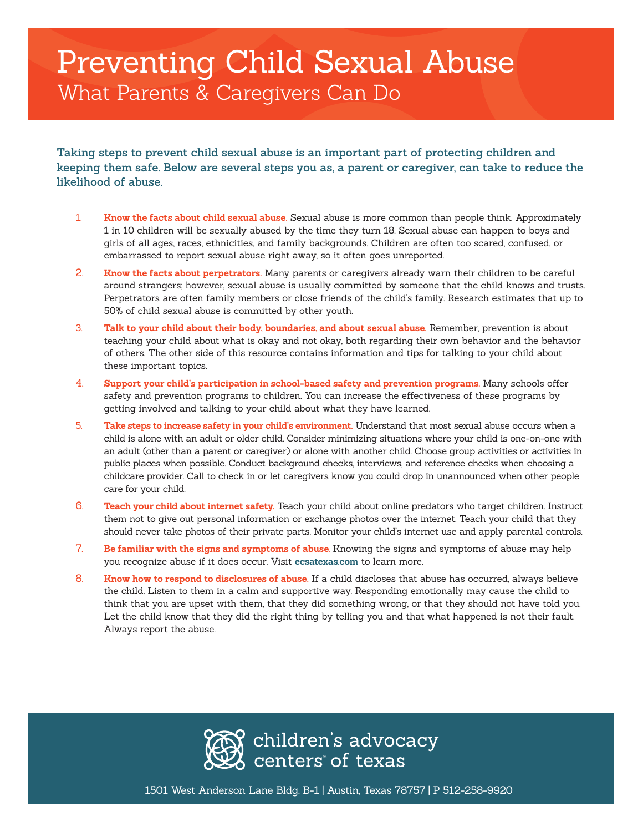## Preventing Child Sexual Abuse What Parents & Caregivers Can Do

**Taking steps to prevent child sexual abuse is an important part of protecting children and keeping them safe. Below are several steps you as, a parent or caregiver, can take to reduce the likelihood of abuse.**

- 1. **Know the facts about child sexual abuse.** Sexual abuse is more common than people think. Approximately 1 in 10 children will be sexually abused by the time they turn 18. Sexual abuse can happen to boys and girls of all ages, races, ethnicities, and family backgrounds. Children are often too scared, confused, or embarrassed to report sexual abuse right away, so it often goes unreported.
- 2. **Know the facts about perpetrators.** Many parents or caregivers already warn their children to be careful around strangers; however, sexual abuse is usually committed by someone that the child knows and trusts. Perpetrators are often family members or close friends of the child's family. Research estimates that up to 50% of child sexual abuse is committed by other youth.
- 3. **Talk to your child about their body, boundaries, and about sexual abuse.** Remember, prevention is about teaching your child about what is okay and not okay, both regarding their own behavior and the behavior of others. The other side of this resource contains information and tips for talking to your child about these important topics.
- 4. **Support your child's participation in school-based safety and prevention programs.** Many schools offer safety and prevention programs to children. You can increase the effectiveness of these programs by getting involved and talking to your child about what they have learned.
- 5. **Take steps to increase safety in your child's environment.** Understand that most sexual abuse occurs when a child is alone with an adult or older child. Consider minimizing situations where your child is one-on-one with an adult (other than a parent or caregiver) or alone with another child. Choose group activities or activities in public places when possible. Conduct background checks, interviews, and reference checks when choosing a childcare provider. Call to check in or let caregivers know you could drop in unannounced when other people care for your child.
- 6. **Teach your child about internet safety.** Teach your child about online predators who target children. Instruct them not to give out personal information or exchange photos over the internet. Teach your child that they should never take photos of their private parts. Monitor your child's internet use and apply parental controls.
- 7. **Be familiar with the signs and symptoms of abuse.** Knowing the signs and symptoms of abuse may help you recognize abuse if it does occur. Visit **ecsatexas.com** to learn more.
- 8. **Know how to respond to disclosures of abuse.** If a child discloses that abuse has occurred, always believe the child. Listen to them in a calm and supportive way. Responding emotionally may cause the child to think that you are upset with them, that they did something wrong, or that they should not have told you. Let the child know that they did the right thing by telling you and that what happened is not their fault. Always report the abuse.



1501 West Anderson Lane Bldg. B-1 | Austin, Texas 78757 | P 512-258-9920